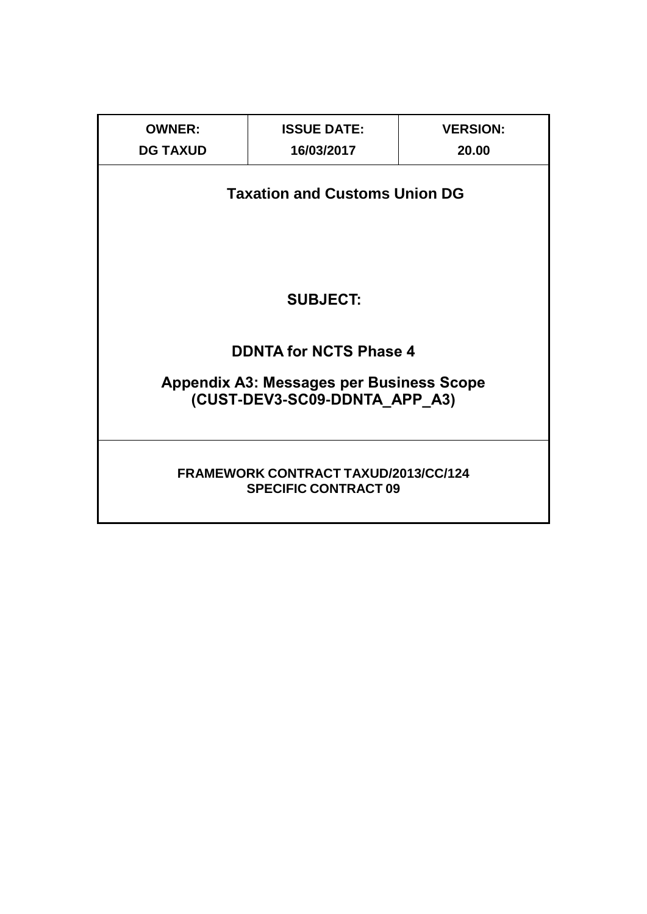| <b>OWNER:</b>                                                                    | <b>ISSUE DATE:</b>            | <b>VERSION:</b> |  |  |  |  |  |  |  |  |
|----------------------------------------------------------------------------------|-------------------------------|-----------------|--|--|--|--|--|--|--|--|
| <b>DG TAXUD</b>                                                                  | 16/03/2017                    | 20.00           |  |  |  |  |  |  |  |  |
| <b>Taxation and Customs Union DG</b>                                             |                               |                 |  |  |  |  |  |  |  |  |
| <b>SUBJECT:</b>                                                                  |                               |                 |  |  |  |  |  |  |  |  |
|                                                                                  | <b>DDNTA for NCTS Phase 4</b> |                 |  |  |  |  |  |  |  |  |
| <b>Appendix A3: Messages per Business Scope</b><br>(CUST-DEV3-SC09-DDNTA_APP_A3) |                               |                 |  |  |  |  |  |  |  |  |
| <b>FRAMEWORK CONTRACT TAXUD/2013/CC/124</b><br><b>SPECIFIC CONTRACT 09</b>       |                               |                 |  |  |  |  |  |  |  |  |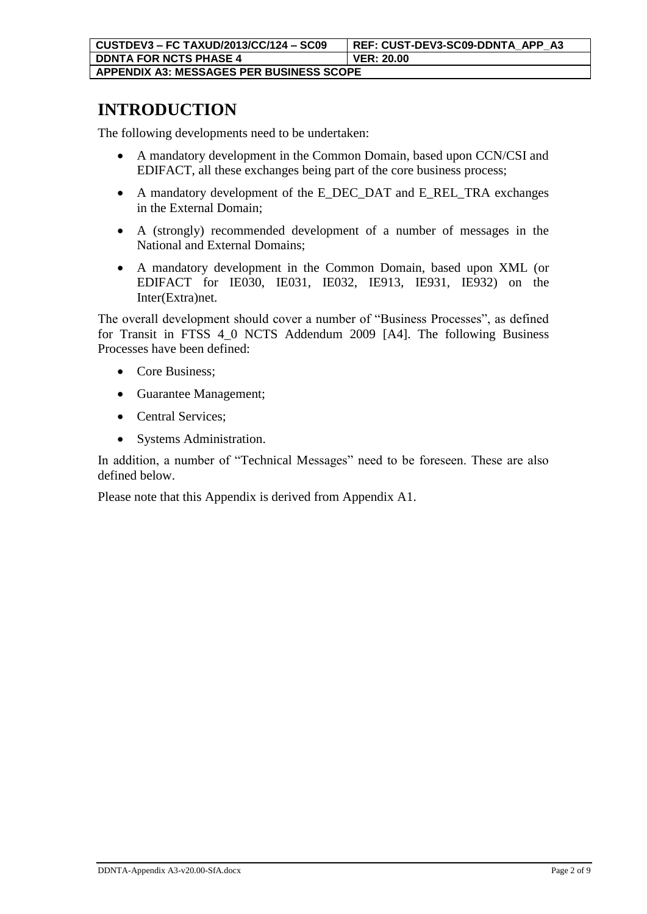## **INTRODUCTION**

The following developments need to be undertaken:

- A mandatory development in the Common Domain, based upon CCN/CSI and EDIFACT, all these exchanges being part of the core business process;
- A mandatory development of the E\_DEC\_DAT and E\_REL\_TRA exchanges in the External Domain;
- A (strongly) recommended development of a number of messages in the National and External Domains;
- A mandatory development in the Common Domain, based upon XML (or EDIFACT for IE030, IE031, IE032, IE913, IE931, IE932) on the Inter(Extra)net.

The overall development should cover a number of "Business Processes", as defined for Transit in FTSS 4\_0 NCTS Addendum 2009 [A4]. The following Business Processes have been defined:

- Core Business:
- Guarantee Management;
- Central Services;
- Systems Administration.

In addition, a number of "Technical Messages" need to be foreseen. These are also defined below.

Please note that this Appendix is derived from Appendix A1.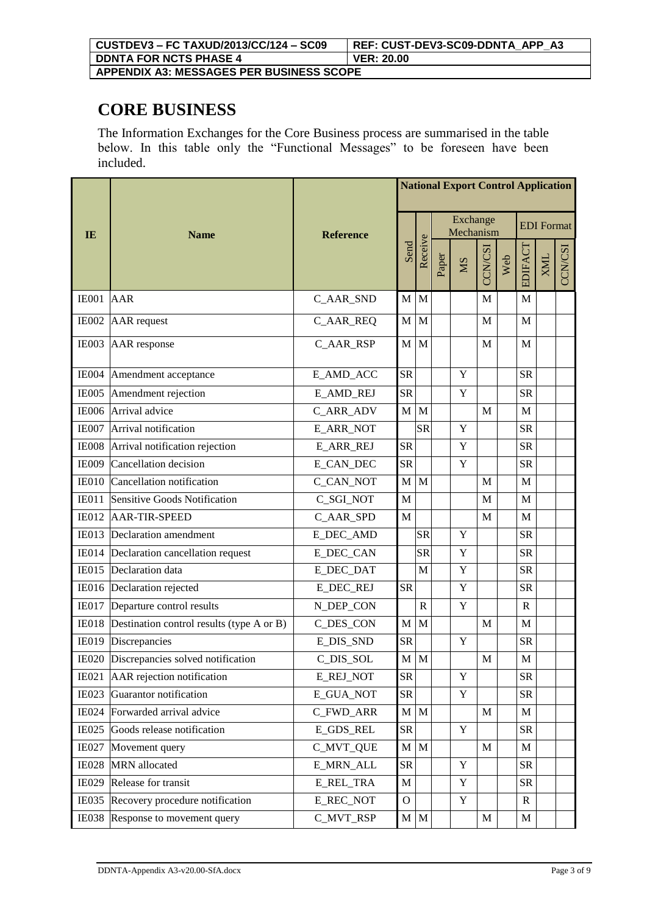#### **CORE BUSINESS**

The Information Exchanges for the Core Business process are summarised in the table below. In this table only the "Functional Messages" to be foreseen have been included.

|              |                                           |                  |              |                       |       |             | <b>National Export Control Application</b><br><b>EDI</b> Format<br>EDIFACT<br>CCN/CSI<br><b>XML</b><br>Web<br>M<br>M<br>M<br>M<br>M<br>M<br><b>SR</b><br><b>SR</b><br>M<br>M<br><b>SR</b><br><b>SR</b> |  |              |  |                |  |
|--------------|-------------------------------------------|------------------|--------------|-----------------------|-------|-------------|--------------------------------------------------------------------------------------------------------------------------------------------------------------------------------------------------------|--|--------------|--|----------------|--|
| <b>IE</b>    | <b>Name</b>                               | <b>Reference</b> |              | Exchange<br>Mechanism |       |             |                                                                                                                                                                                                        |  |              |  |                |  |
|              |                                           |                  | Send         | Receive               | Paper | <b>NIS</b>  |                                                                                                                                                                                                        |  |              |  | <b>CCN/CSI</b> |  |
| IE001        | <b>AAR</b>                                | C AAR SND        | M            | M                     |       |             |                                                                                                                                                                                                        |  |              |  |                |  |
| <b>IE002</b> | <b>AAR</b> request                        | C_AAR_REQ        | M            | M                     |       |             |                                                                                                                                                                                                        |  |              |  |                |  |
| IE003        | AAR response                              | C_AAR_RSP        | M            | M                     |       |             |                                                                                                                                                                                                        |  |              |  |                |  |
| <b>IE004</b> | Amendment acceptance                      | E_AMD_ACC        | <b>SR</b>    |                       |       | Y           |                                                                                                                                                                                                        |  |              |  |                |  |
| <b>IE005</b> | Amendment rejection                       | <b>E_AMD_REJ</b> | <b>SR</b>    |                       |       | $\mathbf Y$ |                                                                                                                                                                                                        |  |              |  |                |  |
| <b>IE006</b> | Arrival advice                            | C_ARR_ADV        | M            | M                     |       |             |                                                                                                                                                                                                        |  |              |  |                |  |
| IE007        | Arrival notification                      | <b>E_ARR_NOT</b> |              | <b>SR</b>             |       | $\mathbf Y$ |                                                                                                                                                                                                        |  |              |  |                |  |
| <b>IE008</b> | Arrival notification rejection            | <b>E_ARR_REJ</b> | <b>SR</b>    |                       |       | $\mathbf Y$ |                                                                                                                                                                                                        |  |              |  |                |  |
| <b>IE009</b> | Cancellation decision                     | E_CAN_DEC        | <b>SR</b>    |                       |       | $\mathbf Y$ |                                                                                                                                                                                                        |  | <b>SR</b>    |  |                |  |
| IE010        | Cancellation notification                 | C_CAN_NOT        | M            | M                     |       |             | M                                                                                                                                                                                                      |  | M            |  |                |  |
| <b>IE011</b> | <b>Sensitive Goods Notification</b>       | C_SGI_NOT        | M            |                       |       |             | M                                                                                                                                                                                                      |  | M            |  |                |  |
| IE012        | <b>AAR-TIR-SPEED</b>                      | C_AAR_SPD        | $\mathbf{M}$ |                       |       |             | M                                                                                                                                                                                                      |  | M            |  |                |  |
| <b>IE013</b> | Declaration amendment                     | <b>E_DEC_AMD</b> |              | <b>SR</b>             |       | $\mathbf Y$ |                                                                                                                                                                                                        |  | <b>SR</b>    |  |                |  |
| IE014        | Declaration cancellation request          | <b>E_DEC_CAN</b> |              | <b>SR</b>             |       | Y           |                                                                                                                                                                                                        |  | <b>SR</b>    |  |                |  |
| <b>IE015</b> | Declaration data                          | <b>E_DEC_DAT</b> |              | M                     |       | Y           |                                                                                                                                                                                                        |  | <b>SR</b>    |  |                |  |
| IE016        | Declaration rejected                      | <b>E_DEC_REJ</b> | <b>SR</b>    |                       |       | $\mathbf Y$ |                                                                                                                                                                                                        |  | <b>SR</b>    |  |                |  |
| IE017        | Departure control results                 | N_DEP_CON        |              | $\mathbf R$           |       | Y           |                                                                                                                                                                                                        |  | R            |  |                |  |
| IE018        | Destination control results (type A or B) | C_DES_CON        | M            | M                     |       |             | M                                                                                                                                                                                                      |  | $\mathbf{M}$ |  |                |  |
| <b>IE019</b> | Discrepancies                             | E_DIS_SND        | <b>SR</b>    |                       |       | $\mathbf Y$ |                                                                                                                                                                                                        |  | <b>SR</b>    |  |                |  |
|              | IE020 Discrepancies solved notification   | C_DIS_SOL        | M            | M                     |       |             | M                                                                                                                                                                                                      |  | $\mathbf M$  |  |                |  |
| <b>IE021</b> | AAR rejection notification                | <b>E_REJ_NOT</b> | ${\rm SR}$   |                       |       | Y           |                                                                                                                                                                                                        |  | <b>SR</b>    |  |                |  |
| <b>IE023</b> | Guarantor notification                    | <b>E_GUA_NOT</b> | <b>SR</b>    |                       |       | $\mathbf Y$ |                                                                                                                                                                                                        |  | ${\rm SR}$   |  |                |  |
| <b>IE024</b> | Forwarded arrival advice                  | C_FWD_ARR        | $M_{\odot}$  | $\mathbf M$           |       |             | $\mathbf M$                                                                                                                                                                                            |  | M            |  |                |  |
| <b>IE025</b> | Goods release notification                | <b>E_GDS_REL</b> | <b>SR</b>    |                       |       | Y           |                                                                                                                                                                                                        |  | <b>SR</b>    |  |                |  |
| IE027        | Movement query                            | <b>C_MVT_QUE</b> | $\mathbf M$  | $\mathbf M$           |       |             | M                                                                                                                                                                                                      |  | M            |  |                |  |
| <b>IE028</b> | MRN allocated                             | <b>E_MRN_ALL</b> | <b>SR</b>    |                       |       | $\mathbf Y$ |                                                                                                                                                                                                        |  | <b>SR</b>    |  |                |  |
| <b>IE029</b> | Release for transit                       | E_REL_TRA        | M            |                       |       | $\mathbf Y$ |                                                                                                                                                                                                        |  | ${\rm SR}$   |  |                |  |
| <b>IE035</b> | Recovery procedure notification           | E REC NOT        | $\mathbf{O}$ |                       |       | Y           |                                                                                                                                                                                                        |  | $\mathbf R$  |  |                |  |
| <b>IE038</b> | Response to movement query                | C_MVT_RSP        | $M$ $M$      |                       |       |             | M                                                                                                                                                                                                      |  | $\mathbf M$  |  |                |  |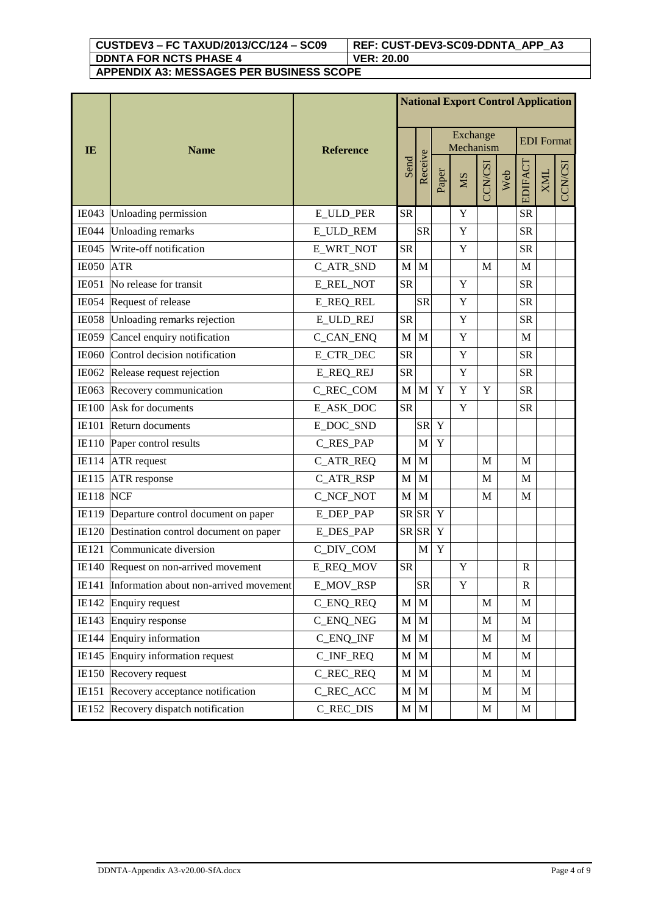**CUSTDEV3 – FC TAXUD/2013/CC/124 – SC09 REF: CUST-DEV3-SC09-DDNTA\_APP\_A3 DDNTA FOR NCTS PHASE 4 VER: 20.00**

**APPENDIX A3: MESSAGES PER BUSINESS SCOPE**

|              |                                        |                  | <b>National Export Control Application</b><br>Exchange |              |             |           |        |     |              |                   |         |
|--------------|----------------------------------------|------------------|--------------------------------------------------------|--------------|-------------|-----------|--------|-----|--------------|-------------------|---------|
| IE           | <b>Name</b>                            | <b>Reference</b> |                                                        |              |             | Mechanism |        |     |              | <b>EDI</b> Format |         |
|              |                                        |                  | Send                                                   | Receive      | Paper       | <b>NS</b> | CN/CSI | Web | EDIFACT      | <b>XML</b>        | CCN/CSI |
| <b>IE043</b> | Unloading permission                   | <b>E_ULD_PER</b> | <b>SR</b>                                              |              |             | Y         |        |     | <b>SR</b>    |                   |         |
| <b>IE044</b> | <b>Unloading remarks</b>               | E_ULD_REM        |                                                        | <b>SR</b>    |             | Y         |        |     | <b>SR</b>    |                   |         |
| <b>IE045</b> | Write-off notification                 | E_WRT_NOT        | <b>SR</b>                                              |              |             | Y         |        |     | <b>SR</b>    |                   |         |
| <b>IE050</b> | <b>ATR</b>                             | C_ATR_SND        | $\mathbf{M}$                                           | M            |             |           | M      |     | M            |                   |         |
| IE051        | No release for transit                 | <b>E_REL_NOT</b> | <b>SR</b>                                              |              |             | Y         |        |     | <b>SR</b>    |                   |         |
| <b>IE054</b> | Request of release                     | <b>E_REQ_REL</b> |                                                        | <b>SR</b>    |             | Y         |        |     | <b>SR</b>    |                   |         |
| <b>IE058</b> | Unloading remarks rejection            | <b>E_ULD_REJ</b> | <b>SR</b>                                              |              |             | Y         |        |     | <b>SR</b>    |                   |         |
| <b>IE059</b> | Cancel enquiry notification            | C_CAN_ENQ        | M                                                      | M            |             | Y         |        |     | M            |                   |         |
| <b>IE060</b> | Control decision notification          | <b>E_CTR_DEC</b> | <b>SR</b>                                              |              |             | Y         |        |     | <b>SR</b>    |                   |         |
|              | IE062 Release request rejection        | <b>E_REQ_REJ</b> | <b>SR</b>                                              |              |             | Y         |        |     | <b>SR</b>    |                   |         |
| IE063        | Recovery communication                 | C_REC_COM        | M                                                      | $\mathbf{M}$ | Y           | Y         | Y      |     | <b>SR</b>    |                   |         |
| <b>IE100</b> | Ask for documents                      | E_ASK_DOC        | <b>SR</b>                                              |              |             | Y         |        |     | <b>SR</b>    |                   |         |
| <b>IE101</b> | Return documents                       | E_DOC_SND        |                                                        | <b>SR</b>    | Y           |           |        |     |              |                   |         |
| <b>IE110</b> | Paper control results                  | C_RES_PAP        |                                                        | M            | Y           |           |        |     |              |                   |         |
| <b>IE114</b> | <b>ATR</b> request                     | C_ATR_REQ        | M                                                      | M            |             |           | M      |     | M            |                   |         |
| IE115        | ATR response                           | C_ATR_RSP        | M                                                      | M            |             |           | M      |     | M            |                   |         |
| <b>IE118</b> | <b>NCF</b>                             | C_NCF_NOT        | $\mathbf{M}$                                           | M            |             |           | M      |     | M            |                   |         |
| IE119        | Departure control document on paper    | E_DEP_PAP        | SR SR                                                  |              | Y           |           |        |     |              |                   |         |
| <b>IE120</b> | Destination control document on paper  | E_DES_PAP        | SR SR                                                  |              | $\mathbf Y$ |           |        |     |              |                   |         |
| IE121        | Communicate diversion                  | C_DIV_COM        |                                                        | M            | Y           |           |        |     |              |                   |         |
|              | IE140 Request on non-arrived movement  | <b>E_REQ_MOV</b> | <b>SR</b>                                              |              |             | Y         |        |     | $\mathbf{R}$ |                   |         |
| IE141        | Information about non-arrived movement | E_MOV_RSP        |                                                        | <b>SR</b>    |             | Y         |        |     | R            |                   |         |
| IE142        | <b>Enquiry request</b>                 | C_ENQ_REQ        | M                                                      | M            |             |           | M      |     | M            |                   |         |
| IE143        | Enquiry response                       | <b>C_ENQ_NEG</b> | M                                                      | $\mathbf M$  |             |           | M      |     | M            |                   |         |
| <b>IE144</b> | Enquiry information                    | C_ENQ_INF        | $\mathbf M$                                            | $\mathbf{M}$ |             |           | M      |     | $\mathbf M$  |                   |         |
| IE145        | Enquiry information request            | C_INF_REQ        | M                                                      | $\mathbf M$  |             |           | M      |     | $\mathbf{M}$ |                   |         |
| <b>IE150</b> | Recovery request                       | C_REC_REQ        | $\mathbf{M}$                                           | M            |             |           | M      |     | M            |                   |         |
| IE151        | Recovery acceptance notification       | C_REC_ACC        | $\mathbf M$                                            | M            |             |           | M      |     | $\mathbf M$  |                   |         |
| IE152        | Recovery dispatch notification         | C_REC_DIS        | M                                                      | $\mathbf M$  |             |           | M      |     | M            |                   |         |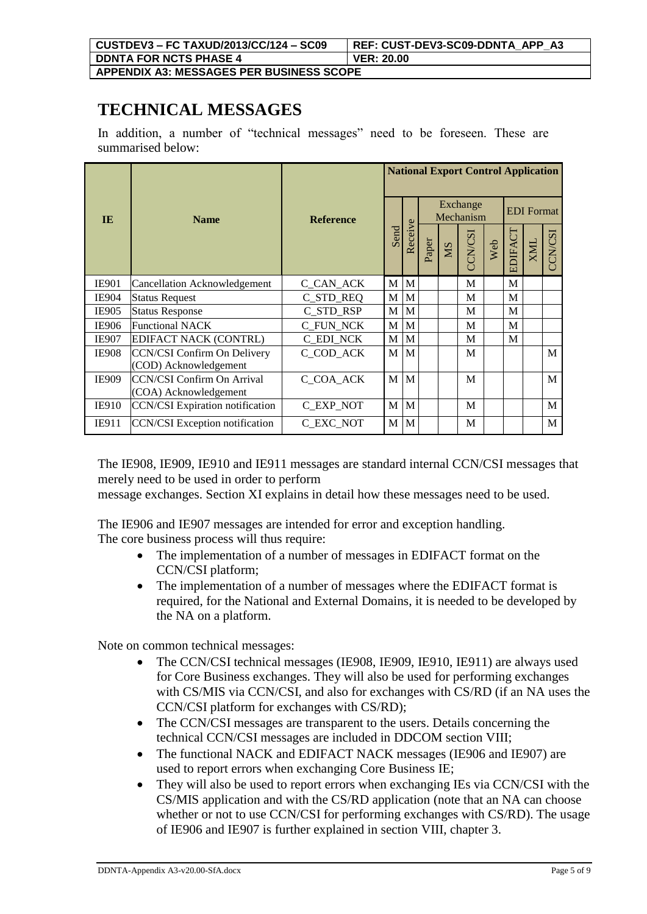**TECHNICAL MESSAGES**

In addition, a number of "technical messages" need to be foreseen. These are summarised below:

|              |                                                            |                  |                               |       | <b>National Export Control Application</b> |         |     |         |                   |         |   |  |  |  |
|--------------|------------------------------------------------------------|------------------|-------------------------------|-------|--------------------------------------------|---------|-----|---------|-------------------|---------|---|--|--|--|
| <b>IE</b>    | <b>Name</b>                                                | <b>Reference</b> | Exchange<br>Mechanism<br>Send |       |                                            |         |     |         | <b>EDI</b> Format |         |   |  |  |  |
|              |                                                            |                  | Receive                       | Paper | SM                                         | CCN/CSI | Web | EDIFACT | <b>NNX</b>        | CCN/CSI |   |  |  |  |
| <b>IE901</b> | Cancellation Acknowledgement                               | C_CAN_ACK        | M                             | M     |                                            |         | M   |         | M                 |         |   |  |  |  |
| <b>IE904</b> | <b>Status Request</b>                                      | C_STD_REQ        | M                             | M     |                                            |         | М   |         | M                 |         |   |  |  |  |
| IE905        | <b>Status Response</b>                                     | C_STD_RSP        | M                             | M     |                                            |         | M   |         | M                 |         |   |  |  |  |
| <b>IE906</b> | <b>Functional NACK</b>                                     | <b>C_FUN_NCK</b> | M                             | M     |                                            |         | M   |         | M                 |         |   |  |  |  |
| <b>IE907</b> | <b>EDIFACT NACK (CONTRL)</b>                               | <b>C_EDI_NCK</b> | M                             | M     |                                            |         | M   |         | M                 |         |   |  |  |  |
| <b>IE908</b> | CCN/CSI Confirm On Delivery<br>(COD) Acknowledgement       | C COD ACK        | M                             | M     |                                            |         | M   |         |                   |         | M |  |  |  |
| <b>IE909</b> | <b>CCN/CSI Confirm On Arrival</b><br>(COA) Acknowledgement | C_COA_ACK        | M                             | M     |                                            |         | M   |         |                   |         | M |  |  |  |
| <b>IE910</b> | <b>CCN/CSI</b> Expiration notification                     | C EXP NOT        | M                             | M     |                                            |         | M   |         |                   |         | M |  |  |  |
| IE911        | CCN/CSI Exception notification                             | C EXC NOT        | M                             | M     |                                            |         | M   |         |                   |         | M |  |  |  |

The IE908, IE909, IE910 and IE911 messages are standard internal CCN/CSI messages that merely need to be used in order to perform

message exchanges. Section XI explains in detail how these messages need to be used.

The IE906 and IE907 messages are intended for error and exception handling. The core business process will thus require:

- The implementation of a number of messages in EDIFACT format on the CCN/CSI platform;
- The implementation of a number of messages where the EDIFACT format is required, for the National and External Domains, it is needed to be developed by the NA on a platform.

Note on common technical messages:

- The CCN/CSI technical messages (IE908, IE909, IE910, IE911) are always used for Core Business exchanges. They will also be used for performing exchanges with CS/MIS via CCN/CSI, and also for exchanges with CS/RD (if an NA uses the CCN/CSI platform for exchanges with CS/RD);
- The CCN/CSI messages are transparent to the users. Details concerning the technical CCN/CSI messages are included in DDCOM section VIII;
- The functional NACK and EDIFACT NACK messages (IE906 and IE907) are used to report errors when exchanging Core Business IE;
- They will also be used to report errors when exchanging IEs via CCN/CSI with the CS/MIS application and with the CS/RD application (note that an NA can choose whether or not to use CCN/CSI for performing exchanges with CS/RD). The usage of IE906 and IE907 is further explained in section VIII, chapter 3.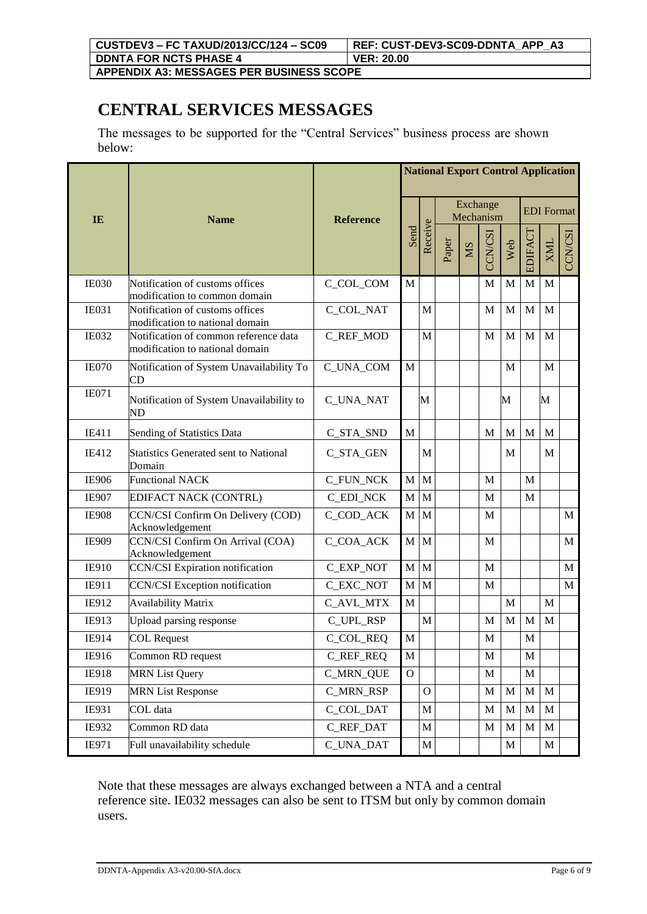**APPENDIX A3: MESSAGES PER BUSINESS SCOPE**

## **CENTRAL SERVICES MESSAGES**

The messages to be supported for the "Central Services" business process are shown below:

|              |                                                                          |                  | <b>National Export Control Application</b> |              |                       |           |                   |             |             |             |              |
|--------------|--------------------------------------------------------------------------|------------------|--------------------------------------------|--------------|-----------------------|-----------|-------------------|-------------|-------------|-------------|--------------|
| IE           | <b>Name</b>                                                              | <b>Reference</b> | Send                                       |              | Exchange<br>Mechanism |           | <b>EDI</b> Format |             |             |             |              |
|              |                                                                          |                  |                                            | Receive      | Paper                 | <b>NS</b> | CCN/CSI           | Web         | EDIFACT     | <b>XML</b>  | CCN/CSI      |
| <b>IE030</b> | Notification of customs offices<br>modification to common domain         | C_COL_COM        | $\mathbf{M}$                               |              |                       |           | M                 | M           | M           | $\mathbf M$ |              |
| <b>IE031</b> | Notification of customs offices<br>modification to national domain       | C_COL_NAT        |                                            | M            |                       |           | M                 | M           | M           | M           |              |
| <b>IE032</b> | Notification of common reference data<br>modification to national domain | C_REF_MOD        |                                            | M            |                       |           | M                 | M           | M           | M           |              |
| <b>IE070</b> | Notification of System Unavailability To<br><b>CD</b>                    | C_UNA_COM        | $\mathbf{M}$                               |              |                       |           |                   | M           |             | M           |              |
| <b>IE071</b> | Notification of System Unavailability to<br>ND                           | C_UNA_NAT        |                                            | M            |                       |           |                   | M           |             | М           |              |
| IE411        | Sending of Statistics Data                                               | C_STA_SND        | M                                          |              |                       |           | M                 | M           | M           | М           |              |
| IE412        | <b>Statistics Generated sent to National</b><br>Domain                   | C_STA_GEN        |                                            | M            |                       |           |                   | M           |             | M           |              |
| <b>IE906</b> | <b>Functional NACK</b>                                                   | C_FUN_NCK        | $\mathbf M$                                | M            |                       |           | M                 |             | M           |             |              |
| <b>IE907</b> | EDIFACT NACK (CONTRL)                                                    | <b>C_EDI_NCK</b> | $\mathbf M$                                | M            |                       |           | M                 |             | M           |             |              |
| <b>IE908</b> | CCN/CSI Confirm On Delivery (COD)<br>Acknowledgement                     | C_COD_ACK        | M                                          | M            |                       |           | M                 |             |             |             | M            |
| IE909        | CCN/CSI Confirm On Arrival (COA)<br>Acknowledgement                      | C_COA_ACK        | $\mathbf{M}$                               | M            |                       |           | M                 |             |             |             | $\mathbf{M}$ |
| IE910        | <b>CCN/CSI</b> Expiration notification                                   | C_EXP_NOT        | M                                          | M            |                       |           | M                 |             |             |             | M            |
| IE911        | <b>CCN/CSI</b> Exception notification                                    | C_EXC_NOT        | $\mathbf M$                                | M            |                       |           | M                 |             |             |             | $\mathbf{M}$ |
| IE912        | <b>Availability Matrix</b>                                               | C_AVL_MTX        | $\mathbf M$                                |              |                       |           |                   | M           |             | M           |              |
| IE913        | <b>Upload parsing response</b>                                           | C_UPL_RSP        |                                            | $\mathbf{M}$ |                       |           | M                 | M           | M           | M           |              |
| IE914        | <b>COL Request</b>                                                       | C_COL_REQ        | $\mathbf{M}$                               |              |                       |           | M                 |             | M           |             |              |
| IE916        | Common RD request                                                        | <b>C_REF_REQ</b> | M                                          |              |                       |           | $\mathbf M$       |             | $\mathbf M$ |             |              |
| IE918        | <b>MRN List Query</b>                                                    | <b>C_MRN_QUE</b> | $\mathbf{O}$                               |              |                       |           | M                 |             | $\mathbf M$ |             |              |
| IE919        | <b>MRN List Response</b>                                                 | <b>C_MRN_RSP</b> |                                            | $\mathbf{O}$ |                       |           | M                 | M           | $\mathbf M$ | $\mathbf M$ |              |
| IE931        | COL data                                                                 | C_COL_DAT        |                                            | $\mathbf M$  |                       |           | M                 | $\mathbf M$ | $\mathbf M$ | M           |              |
| IE932        | Common RD data                                                           | C_REF_DAT        |                                            | $\mathbf M$  |                       |           | M                 | M           | $\mathbf M$ | $\mathbf M$ |              |
| IE971        | Full unavailability schedule                                             | C_UNA_DAT        |                                            | M            |                       |           |                   | M           |             | M           |              |

Note that these messages are always exchanged between a NTA and a central reference site. IE032 messages can also be sent to ITSM but only by common domain users.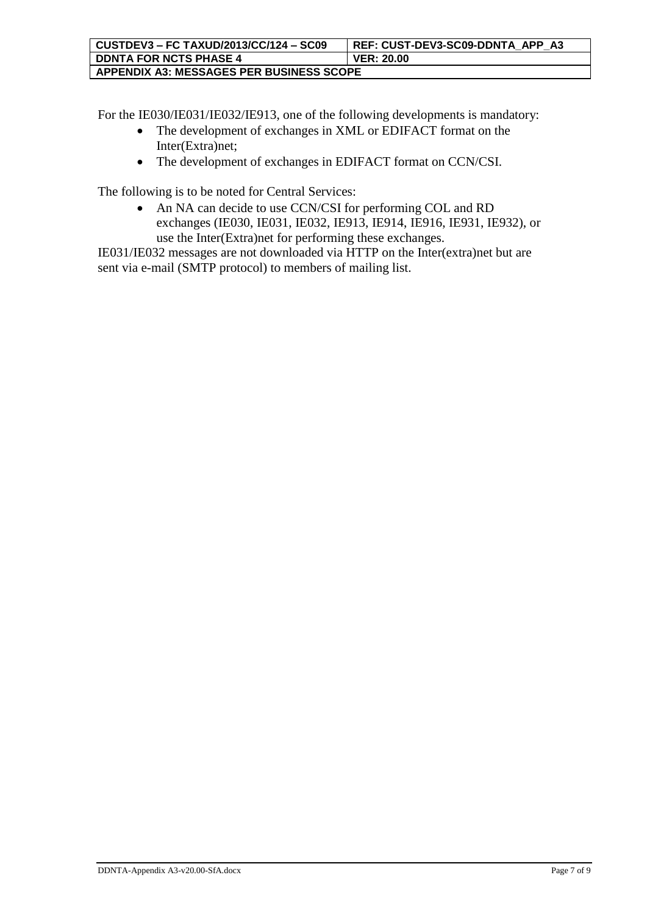For the IE030/IE031/IE032/IE913, one of the following developments is mandatory:

- The development of exchanges in XML or EDIFACT format on the Inter(Extra)net;
- The development of exchanges in EDIFACT format on CCN/CSI.

The following is to be noted for Central Services:

• An NA can decide to use CCN/CSI for performing COL and RD exchanges (IE030, IE031, IE032, IE913, IE914, IE916, IE931, IE932), or use the Inter(Extra)net for performing these exchanges.

IE031/IE032 messages are not downloaded via HTTP on the Inter(extra)net but are sent via e-mail (SMTP protocol) to members of mailing list.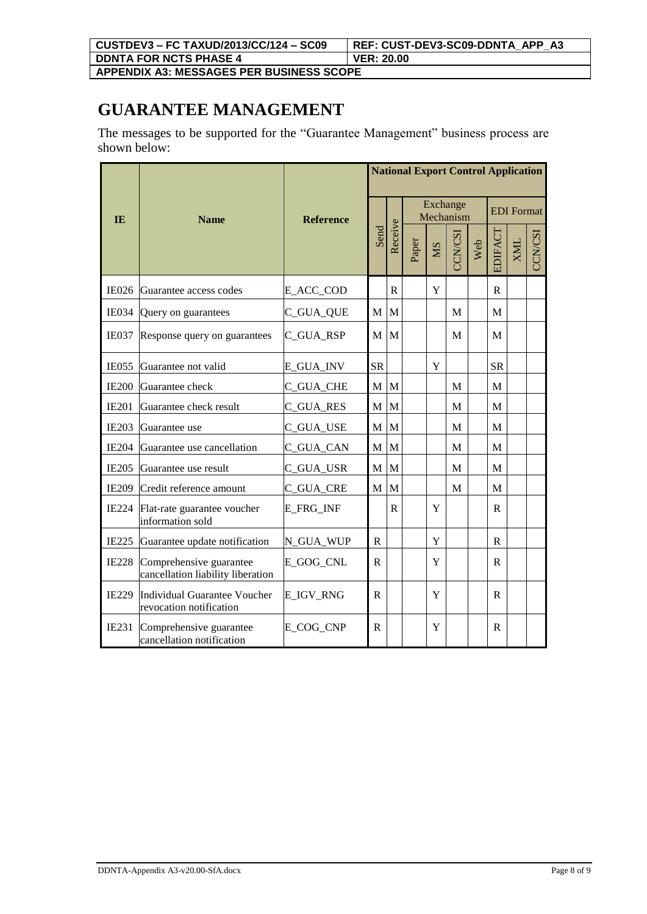**APPENDIX A3: MESSAGES PER BUSINESS SCOPE**

# **GUARANTEE MANAGEMENT**

The messages to be supported for the "Guarantee Management" business process are shown below:

| <b>IE</b>    | <b>Name</b>                                                  | <b>Reference</b> | Send           |              |       |             |         |     |              | Exchange<br>Mechanism |  |  | <b>National Export Control Application</b><br><b>EDI</b> Format<br>CCN/CSI |
|--------------|--------------------------------------------------------------|------------------|----------------|--------------|-------|-------------|---------|-----|--------------|-----------------------|--|--|----------------------------------------------------------------------------|
|              |                                                              |                  |                | Receive      | Paper | <b>NS</b>   | CCN/CSI | Web | EDIFACT      | <b>ZNIX</b>           |  |  |                                                                            |
| <b>IE026</b> | Guarantee access codes                                       | E_ACC_COD        |                | $\mathsf{R}$ |       | Y           |         |     | $\mathbf R$  |                       |  |  |                                                                            |
| <b>IE034</b> | Query on guarantees                                          | C_GUA_QUE        | $\mathbf M$    | M            |       |             | M       |     | M            |                       |  |  |                                                                            |
| <b>IE037</b> | Response query on guarantees                                 | C_GUA_RSP        | M              | M            |       |             | M       |     | M            |                       |  |  |                                                                            |
| <b>IE055</b> | Guarantee not valid                                          | E_GUA_INV        | <b>SR</b>      |              |       | $\mathbf Y$ |         |     | <b>SR</b>    |                       |  |  |                                                                            |
| <b>IE200</b> | Guarantee check                                              | C_GUA_CHE        | M              | $\mathbf M$  |       |             | M       |     | M            |                       |  |  |                                                                            |
| <b>IE201</b> | Guarantee check result                                       | <b>C_GUA_RES</b> | M <sub>1</sub> | M            |       |             | M       |     | M            |                       |  |  |                                                                            |
| IE203        | Guarantee use                                                | C_GUA_USE        | M              | M            |       |             | M       |     | M            |                       |  |  |                                                                            |
| <b>IE204</b> | Guarantee use cancellation                                   | C_GUA_CAN        | M              | M            |       |             | M       |     | M            |                       |  |  |                                                                            |
| <b>IE205</b> | Guarantee use result                                         | C_GUA_USR        | M              | $\mathbf M$  |       |             | M       |     | M            |                       |  |  |                                                                            |
| <b>IE209</b> | Credit reference amount                                      | C_GUA_CRE        | M              | M            |       |             | M       |     | M            |                       |  |  |                                                                            |
| <b>IE224</b> | Flat-rate guarantee voucher<br>information sold              | <b>E_FRG_INF</b> |                | $\mathbf R$  |       | Y           |         |     | $\mathbf R$  |                       |  |  |                                                                            |
| <b>IE225</b> | Guarantee update notification                                | N_GUA_WUP        | R              |              |       | $\mathbf Y$ |         |     | $\mathbb{R}$ |                       |  |  |                                                                            |
| <b>IE228</b> | Comprehensive guarantee<br>cancellation liability liberation | E_GOG_CNL        | $\mathbf R$    |              |       | Y           |         |     | $\mathbb{R}$ |                       |  |  |                                                                            |
| <b>IE229</b> | Individual Guarantee Voucher<br>revocation notification      | E IGV RNG        | $\mathbf{R}$   |              |       | Y           |         |     | $\mathsf{R}$ |                       |  |  |                                                                            |
| IE231        | Comprehensive guarantee<br>cancellation notification         | E_COG_CNP        | $\mathsf{R}$   |              |       | Y           |         |     | $\mathsf{R}$ |                       |  |  |                                                                            |